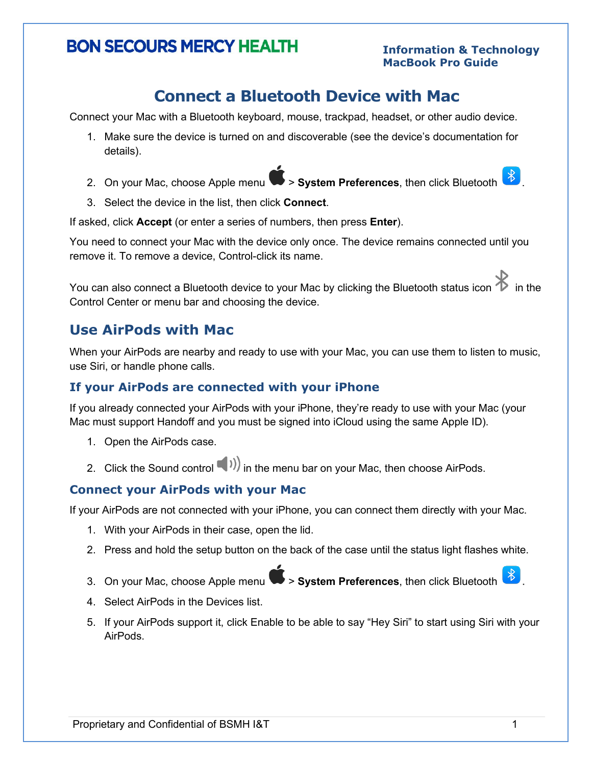# **BON SECOURS MERCY HEALTH**

## **Connect a Bluetooth Device with Mac**

Connect your Mac with a Bluetooth keyboard, mouse, trackpad, headset, or other audio device.

- 1. Make sure the device is turned on and discoverable (see the device's documentation for details).
- 2. On your Mac, choose Apple menu **4 > System Preferences**, then click Bluetooth 8.
- 3. Select the device in the list, then click **Connect**.

If asked, click **Accept** (or enter a series of numbers, then press **Enter**).

You need to connect your Mac with the device only once. The device remains connected until you remove it. To remove a device, Control-click its name.

You can also connect a Bluetooth device to your Mac by clicking the Bluetooth status icon  $\blacktriangleright$  in the Control Center or menu bar and choosing the device.

### **Use AirPods with Mac**

When your AirPods are nearby and ready to use with your Mac, you can use them to listen to music, use Siri, or handle phone calls.

### **If your AirPods are connected with your iPhone**

If you already connected your AirPods with your iPhone, they're ready to use with your Mac (your Mac must support Handoff and you must be signed into iCloud using the same Apple ID).

- 1. Open the AirPods case.
- 2. Click the Sound control  $\binom{n}{1}$  in the menu bar on your Mac, then choose AirPods.

### **Connect your AirPods with your Mac**

If your AirPods are not connected with your iPhone, you can connect them directly with your Mac.

- 1. With your AirPods in their case, open the lid.
- 2. Press and hold the setup button on the back of the case until the status light flashes white.
- 3. On your Mac, choose Apple menu > **System Preferences**, then click Bluetooth .
- 4. Select AirPods in the Devices list.
- 5. If your AirPods support it, click Enable to be able to say "Hey Siri" to start using Siri with your AirPods.